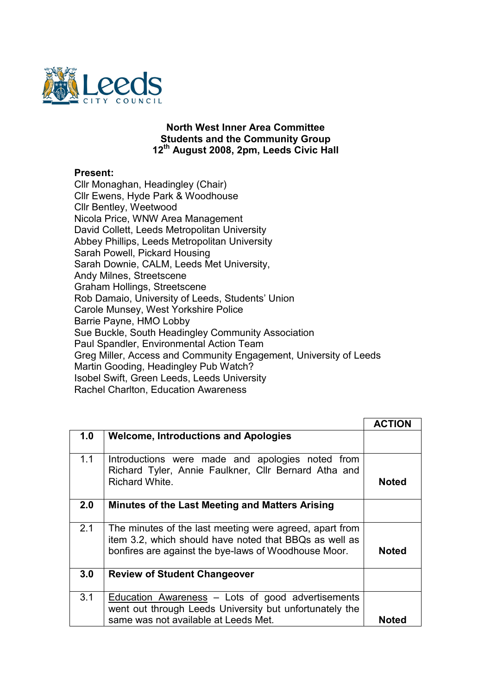

## North West Inner Area Committee Students and the Community Group 12<sup>th</sup> August 2008, 2pm, Leeds Civic Hall

## Present:

Cllr Monaghan, Headingley (Chair) Cllr Ewens, Hyde Park & Woodhouse Cllr Bentley, Weetwood Nicola Price, WNW Area Management David Collett, Leeds Metropolitan University Abbey Phillips, Leeds Metropolitan University Sarah Powell, Pickard Housing Sarah Downie, CALM, Leeds Met University, Andy Milnes, Streetscene Graham Hollings, Streetscene Rob Damaio, University of Leeds, Students' Union Carole Munsey, West Yorkshire Police Barrie Payne, HMO Lobby Sue Buckle, South Headingley Community Association Paul Spandler, Environmental Action Team Greg Miller, Access and Community Engagement, University of Leeds Martin Gooding, Headingley Pub Watch? Isobel Swift, Green Leeds, Leeds University Rachel Charlton, Education Awareness

|     |                                                                                                                                                                           | <b>ACTION</b> |
|-----|---------------------------------------------------------------------------------------------------------------------------------------------------------------------------|---------------|
| 1.0 | <b>Welcome, Introductions and Apologies</b>                                                                                                                               |               |
| 1.1 | Introductions were made and apologies noted from<br>Richard Tyler, Annie Faulkner, Cllr Bernard Atha and<br>Richard White.                                                | <b>Noted</b>  |
| 2.0 | Minutes of the Last Meeting and Matters Arising                                                                                                                           |               |
| 2.1 | The minutes of the last meeting were agreed, apart from<br>item 3.2, which should have noted that BBQs as well as<br>bonfires are against the bye-laws of Woodhouse Moor. | <b>Noted</b>  |
| 3.0 | <b>Review of Student Changeover</b>                                                                                                                                       |               |
| 3.1 | Education Awareness $-$ Lots of good advertisements<br>went out through Leeds University but unfortunately the<br>same was not available at Leeds Met.                    | <b>Noted</b>  |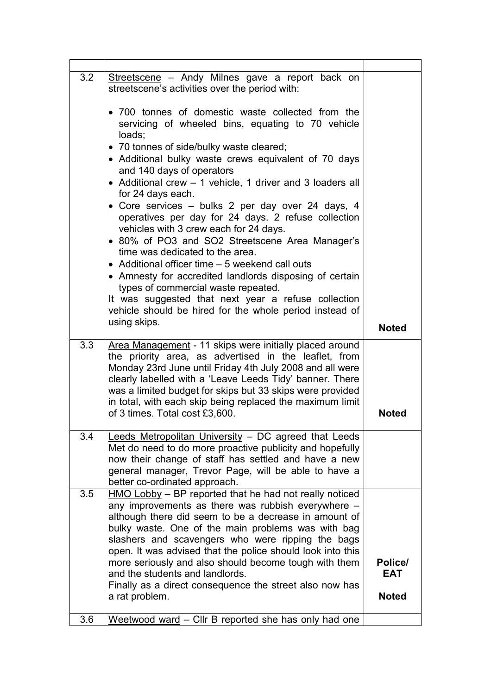| 3.2 | Streetscene - Andy Milnes gave a report back on<br>streetscene's activities over the period with:                                                                                                                                                                                                                                                                                                                                                                                                                                                                                                                                                                                                                                                                                                                                                      |                                       |
|-----|--------------------------------------------------------------------------------------------------------------------------------------------------------------------------------------------------------------------------------------------------------------------------------------------------------------------------------------------------------------------------------------------------------------------------------------------------------------------------------------------------------------------------------------------------------------------------------------------------------------------------------------------------------------------------------------------------------------------------------------------------------------------------------------------------------------------------------------------------------|---------------------------------------|
|     | • 700 tonnes of domestic waste collected from the<br>servicing of wheeled bins, equating to 70 vehicle<br>loads;<br>• 70 tonnes of side/bulky waste cleared;<br>• Additional bulky waste crews equivalent of 70 days<br>and 140 days of operators<br>• Additional crew – 1 vehicle, 1 driver and 3 loaders all<br>for 24 days each.<br>• Core services – bulks 2 per day over 24 days, 4<br>operatives per day for 24 days. 2 refuse collection<br>vehicles with 3 crew each for 24 days.<br>• 80% of PO3 and SO2 Streetscene Area Manager's<br>time was dedicated to the area.<br>• Additional officer time – 5 weekend call outs<br>• Amnesty for accredited landlords disposing of certain<br>types of commercial waste repeated.<br>It was suggested that next year a refuse collection<br>vehicle should be hired for the whole period instead of |                                       |
|     | using skips.                                                                                                                                                                                                                                                                                                                                                                                                                                                                                                                                                                                                                                                                                                                                                                                                                                           | <b>Noted</b>                          |
| 3.3 | Area Management - 11 skips were initially placed around<br>the priority area, as advertised in the leaflet, from<br>Monday 23rd June until Friday 4th July 2008 and all were<br>clearly labelled with a 'Leave Leeds Tidy' banner. There<br>was a limited budget for skips but 33 skips were provided<br>in total, with each skip being replaced the maximum limit<br>of 3 times. Total cost £3,600.                                                                                                                                                                                                                                                                                                                                                                                                                                                   | <b>Noted</b>                          |
| 3.4 | Leeds Metropolitan University - DC agreed that Leeds<br>Met do need to do more proactive publicity and hopefully<br>now their change of staff has settled and have a new<br>general manager, Trevor Page, will be able to have a<br>better co-ordinated approach.                                                                                                                                                                                                                                                                                                                                                                                                                                                                                                                                                                                      |                                       |
| 3.5 | $HMO$ Lobby $-$ BP reported that he had not really noticed<br>any improvements as there was rubbish everywhere -<br>although there did seem to be a decrease in amount of<br>bulky waste. One of the main problems was with bag<br>slashers and scavengers who were ripping the bags<br>open. It was advised that the police should look into this<br>more seriously and also should become tough with them<br>and the students and landlords.<br>Finally as a direct consequence the street also now has<br>a rat problem.                                                                                                                                                                                                                                                                                                                            | Police/<br><b>EAT</b><br><b>Noted</b> |
| 3.6 | Weetwood ward - Cllr B reported she has only had one                                                                                                                                                                                                                                                                                                                                                                                                                                                                                                                                                                                                                                                                                                                                                                                                   |                                       |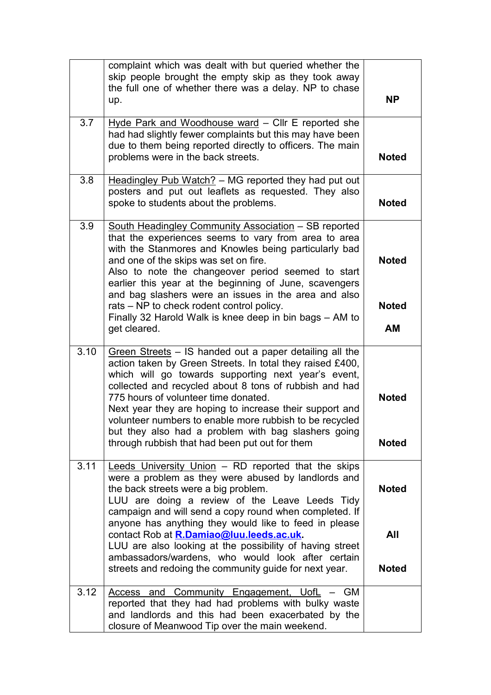|      | complaint which was dealt with but queried whether the<br>skip people brought the empty skip as they took away<br>the full one of whether there was a delay. NP to chase<br>up.                                                                                                                                                                                                                                                                                                                              | <b>NP</b>                    |
|------|--------------------------------------------------------------------------------------------------------------------------------------------------------------------------------------------------------------------------------------------------------------------------------------------------------------------------------------------------------------------------------------------------------------------------------------------------------------------------------------------------------------|------------------------------|
| 3.7  | Hyde Park and Woodhouse ward - Cllr E reported she<br>had had slightly fewer complaints but this may have been<br>due to them being reported directly to officers. The main<br>problems were in the back streets.                                                                                                                                                                                                                                                                                            | <b>Noted</b>                 |
| 3.8  | Headingley Pub Watch? - MG reported they had put out<br>posters and put out leaflets as requested. They also<br>spoke to students about the problems.                                                                                                                                                                                                                                                                                                                                                        | <b>Noted</b>                 |
| 3.9  | South Headingley Community Association - SB reported<br>that the experiences seems to vary from area to area<br>with the Stanmores and Knowles being particularly bad<br>and one of the skips was set on fire.<br>Also to note the changeover period seemed to start<br>earlier this year at the beginning of June, scavengers<br>and bag slashers were an issues in the area and also                                                                                                                       | <b>Noted</b>                 |
|      | rats – NP to check rodent control policy.<br>Finally 32 Harold Walk is knee deep in bin bags - AM to<br>get cleared.                                                                                                                                                                                                                                                                                                                                                                                         | <b>Noted</b><br>AM           |
| 3.10 | Green Streets – IS handed out a paper detailing all the<br>action taken by Green Streets. In total they raised £400,<br>which will go towards supporting next year's event,<br>collected and recycled about 8 tons of rubbish and had<br>775 hours of volunteer time donated.<br>Next year they are hoping to increase their support and<br>volunteer numbers to enable more rubbish to be recycled<br>but they also had a problem with bag slashers going<br>through rubbish that had been put out for them | <b>Noted</b><br><b>Noted</b> |
| 3.11 | Leeds University Union - RD reported that the skips<br>were a problem as they were abused by landlords and<br>the back streets were a big problem.<br>LUU are doing a review of the Leave Leeds Tidy<br>campaign and will send a copy round when completed. If                                                                                                                                                                                                                                               | <b>Noted</b>                 |
|      | anyone has anything they would like to feed in please<br>contact Rob at R.Damiao@luu.leeds.ac.uk.<br>LUU are also looking at the possibility of having street<br>ambassadors/wardens, who would look after certain<br>streets and redoing the community guide for next year.                                                                                                                                                                                                                                 | All<br><b>Noted</b>          |
| 3.12 | Access and Community Engagement, UofL<br>GM.<br>reported that they had had problems with bulky waste<br>and landlords and this had been exacerbated by the<br>closure of Meanwood Tip over the main weekend.                                                                                                                                                                                                                                                                                                 |                              |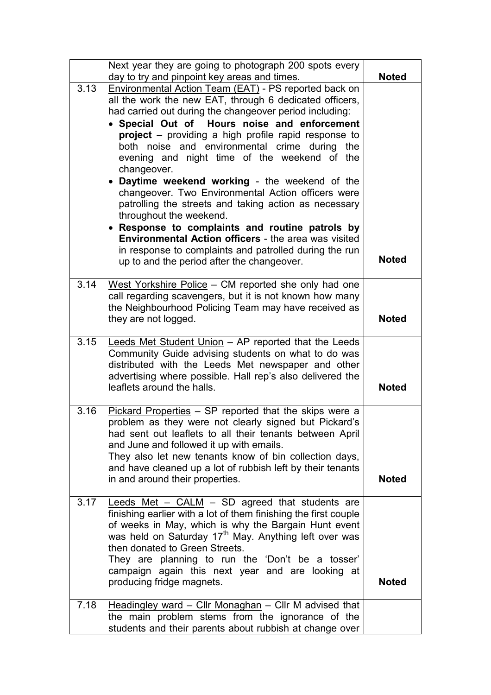|      | Next year they are going to photograph 200 spots every<br>day to try and pinpoint key areas and times.                                                                                                                                                                                                                                                                                                                                                                                                                                                                                                                                                                                                                                                                                                                                  | <b>Noted</b> |
|------|-----------------------------------------------------------------------------------------------------------------------------------------------------------------------------------------------------------------------------------------------------------------------------------------------------------------------------------------------------------------------------------------------------------------------------------------------------------------------------------------------------------------------------------------------------------------------------------------------------------------------------------------------------------------------------------------------------------------------------------------------------------------------------------------------------------------------------------------|--------------|
| 3.13 | <b>Environmental Action Team (EAT) - PS reported back on</b><br>all the work the new EAT, through 6 dedicated officers,<br>had carried out during the changeover period including:<br>• Special Out of Hours noise and enforcement<br><b>project</b> – providing a high profile rapid response to<br>both noise and environmental crime during the<br>evening and night time of the weekend of the<br>changeover.<br>• Daytime weekend working - the weekend of the<br>changeover. Two Environmental Action officers were<br>patrolling the streets and taking action as necessary<br>throughout the weekend.<br>• Response to complaints and routine patrols by<br><b>Environmental Action officers</b> - the area was visited<br>in response to complaints and patrolled during the run<br>up to and the period after the changeover. | <b>Noted</b> |
| 3.14 | West Yorkshire Police - CM reported she only had one<br>call regarding scavengers, but it is not known how many<br>the Neighbourhood Policing Team may have received as<br>they are not logged.                                                                                                                                                                                                                                                                                                                                                                                                                                                                                                                                                                                                                                         | <b>Noted</b> |
| 3.15 | Leeds Met Student Union - AP reported that the Leeds<br>Community Guide advising students on what to do was<br>distributed with the Leeds Met newspaper and other<br>advertising where possible. Hall rep's also delivered the<br>leaflets around the halls.                                                                                                                                                                                                                                                                                                                                                                                                                                                                                                                                                                            | <b>Noted</b> |
| 3.16 | Pickard Properties - SP reported that the skips were a<br>problem as they were not clearly signed but Pickard's<br>had sent out leaflets to all their tenants between April<br>and June and followed it up with emails.<br>They also let new tenants know of bin collection days,<br>and have cleaned up a lot of rubbish left by their tenants<br>in and around their properties.                                                                                                                                                                                                                                                                                                                                                                                                                                                      | <b>Noted</b> |
| 3.17 | Leeds Met $-$ CALM $-$ SD agreed that students are<br>finishing earlier with a lot of them finishing the first couple<br>of weeks in May, which is why the Bargain Hunt event<br>was held on Saturday 17 <sup>th</sup> May. Anything left over was<br>then donated to Green Streets.<br>They are planning to run the 'Don't be a tosser'<br>campaign again this next year and are looking at<br>producing fridge magnets.                                                                                                                                                                                                                                                                                                                                                                                                               | <b>Noted</b> |
| 7.18 | Headingley ward $-$ Cllr Monaghan $-$ Cllr M advised that<br>the main problem stems from the ignorance of the<br>students and their parents about rubbish at change over                                                                                                                                                                                                                                                                                                                                                                                                                                                                                                                                                                                                                                                                |              |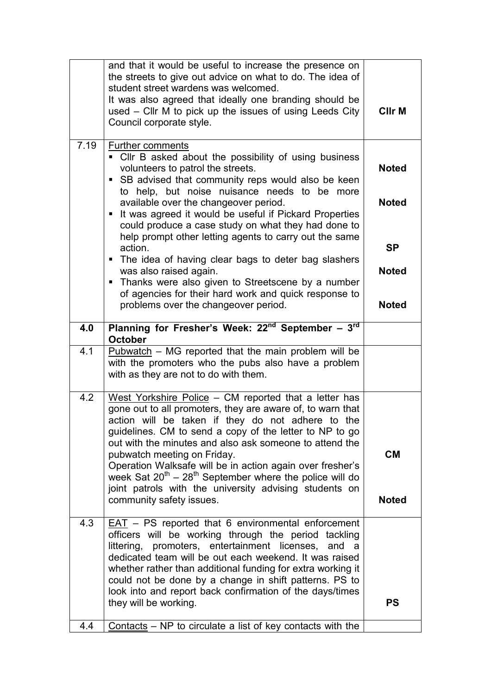|      | and that it would be useful to increase the presence on<br>the streets to give out advice on what to do. The idea of<br>student street wardens was welcomed.<br>It was also agreed that ideally one branding should be<br>used - Cllr M to pick up the issues of using Leeds City<br>Council corporate style.                                                                                                                                                                                                                                       | <b>CIIr M</b>                             |
|------|-----------------------------------------------------------------------------------------------------------------------------------------------------------------------------------------------------------------------------------------------------------------------------------------------------------------------------------------------------------------------------------------------------------------------------------------------------------------------------------------------------------------------------------------------------|-------------------------------------------|
| 7.19 | <b>Further comments</b><br>• Cllr B asked about the possibility of using business<br>volunteers to patrol the streets.<br>• SB advised that community reps would also be keen<br>to help, but noise nuisance needs to be more<br>available over the changeover period.<br>It was agreed it would be useful if Pickard Properties<br>п<br>could produce a case study on what they had done to<br>help prompt other letting agents to carry out the same                                                                                              | <b>Noted</b><br><b>Noted</b>              |
|      | action.<br>• The idea of having clear bags to deter bag slashers<br>was also raised again.<br>• Thanks were also given to Streetscene by a number<br>of agencies for their hard work and quick response to<br>problems over the changeover period.                                                                                                                                                                                                                                                                                                  | <b>SP</b><br><b>Noted</b><br><b>Noted</b> |
| 4.0  | Planning for Fresher's Week: $22^{nd}$ September - $3^{rd}$<br><b>October</b>                                                                                                                                                                                                                                                                                                                                                                                                                                                                       |                                           |
| 4.1  | $Pubwatch - MG$ reported that the main problem will be<br>with the promoters who the pubs also have a problem<br>with as they are not to do with them.                                                                                                                                                                                                                                                                                                                                                                                              |                                           |
| 4.2  | West Yorkshire Police - CM reported that a letter has<br>gone out to all promoters, they are aware of, to warn that<br>action will be taken if they do not adhere to the<br>guidelines. CM to send a copy of the letter to NP to go<br>out with the minutes and also ask someone to attend the<br>pubwatch meeting on Friday.<br>Operation Walksafe will be in action again over fresher's<br>week Sat $20^{th} - 28^{th}$ September where the police will do<br>joint patrols with the university advising students on<br>community safety issues. | <b>CM</b><br><b>Noted</b>                 |
| 4.3  | EAT - PS reported that 6 environmental enforcement<br>officers will be working through the period tackling<br>littering, promoters, entertainment licenses, and a<br>dedicated team will be out each weekend. It was raised<br>whether rather than additional funding for extra working it<br>could not be done by a change in shift patterns. PS to<br>look into and report back confirmation of the days/times<br>they will be working.                                                                                                           | <b>PS</b>                                 |
| 4.4  | $Contents - NP to circulate a list of key contacts with the$                                                                                                                                                                                                                                                                                                                                                                                                                                                                                        |                                           |